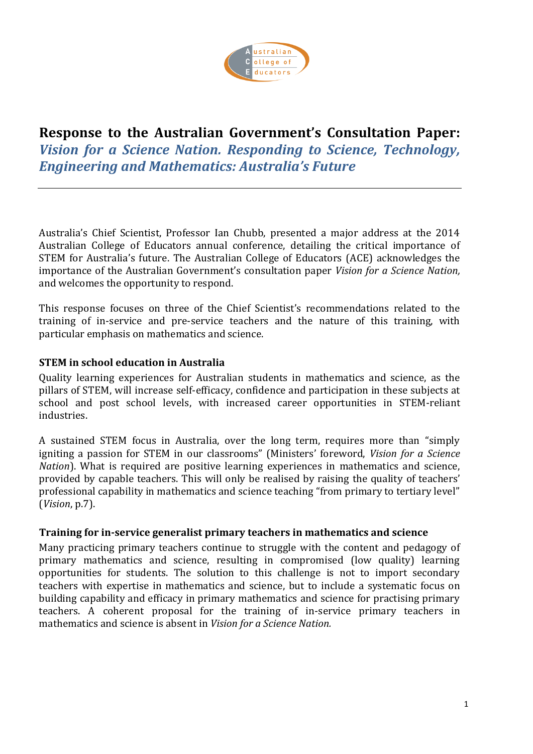

# **Response to the Australian Government's Consultation Paper:**  *Vision for a Science Nation. Responding to Science, Technology, Engineering and Mathematics: Australia's Future*

Australia's Chief Scientist, Professor Ian Chubb, presented a major address at the 2014 Australian College of Educators annual conference, detailing the critical importance of STEM for Australia's future. The Australian College of Educators (ACE) acknowledges the importance of the Australian Government's consultation paper *Vision for a Science Nation,*  and welcomes the opportunity to respond.

This response focuses on three of the Chief Scientist's recommendations related to the training of in-service and pre-service teachers and the nature of this training, with particular emphasis on mathematics and science.

## **STEM in school education in Australia**

Quality learning experiences for Australian students in mathematics and science, as the pillars of STEM, will increase self-efficacy, confidence and participation in these subjects at school and post school levels, with increased career opportunities in STEM-reliant industries.

A sustained STEM focus in Australia, over the long term, requires more than "simply igniting a passion for STEM in our classrooms" (Ministers' foreword, *Vision for a Science Nation*). What is required are positive learning experiences in mathematics and science, provided by capable teachers. This will only be realised by raising the quality of teachers' professional capability in mathematics and science teaching "from primary to tertiary level" (*Vision*, p.7).

### **Training for in-service generalist primary teachers in mathematics and science**

Many practicing primary teachers continue to struggle with the content and pedagogy of primary mathematics and science, resulting in compromised (low quality) learning opportunities for students. The solution to this challenge is not to import secondary teachers with expertise in mathematics and science, but to include a systematic focus on building capability and efficacy in primary mathematics and science for practising primary teachers. A coherent proposal for the training of in-service primary teachers in mathematics and science is absent in *Vision for a Science Nation.*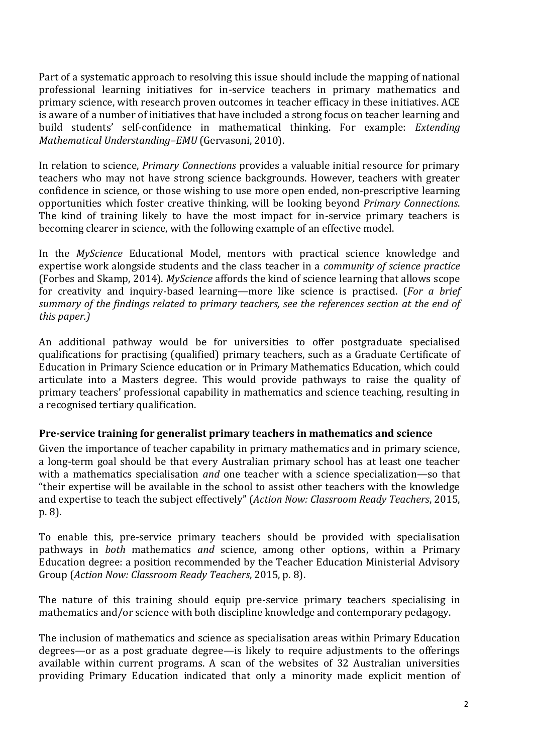Part of a systematic approach to resolving this issue should include the mapping of national professional learning initiatives for in-service teachers in primary mathematics and primary science, with research proven outcomes in teacher efficacy in these initiatives. ACE is aware of a number of initiatives that have included a strong focus on teacher learning and build students' self-confidence in mathematical thinking. For example: *Extending Mathematical Understanding–EMU* (Gervasoni, 2010).

In relation to science, *Primary Connections* provides a valuable initial resource for primary teachers who may not have strong science backgrounds. However, teachers with greater confidence in science, or those wishing to use more open ended, non-prescriptive learning opportunities which foster creative thinking, will be looking beyond *Primary Connections*. The kind of training likely to have the most impact for in-service primary teachers is becoming clearer in science, with the following example of an effective model.

In the *MyScience* Educational Model, mentors with practical science knowledge and expertise work alongside students and the class teacher in a *community of science practice* (Forbes and Skamp, 2014). *MyScience* affords the kind of science learning that allows scope for creativity and inquiry-based learning—more like science is practised. (*For a brief summary of the findings related to primary teachers, see the references section at the end of this paper.)*

An additional pathway would be for universities to offer postgraduate specialised qualifications for practising (qualified) primary teachers, such as a Graduate Certificate of Education in Primary Science education or in Primary Mathematics Education, which could articulate into a Masters degree. This would provide pathways to raise the quality of primary teachers' professional capability in mathematics and science teaching, resulting in a recognised tertiary qualification.

### **Pre-service training for generalist primary teachers in mathematics and science**

Given the importance of teacher capability in primary mathematics and in primary science, a long-term goal should be that every Australian primary school has at least one teacher with a mathematics specialisation *and* one teacher with a science specialization—so that "their expertise will be available in the school to assist other teachers with the knowledge and expertise to teach the subject effectively" (*Action Now: Classroom Ready Teachers*, 2015, p. 8).

To enable this, pre-service primary teachers should be provided with specialisation pathways in *both* mathematics *and* science, among other options, within a Primary Education degree: a position recommended by the Teacher Education Ministerial Advisory Group (*Action Now: Classroom Ready Teachers*, 2015, p. 8).

The nature of this training should equip pre-service primary teachers specialising in mathematics and/or science with both discipline knowledge and contemporary pedagogy.

The inclusion of mathematics and science as specialisation areas within Primary Education degrees—or as a post graduate degree—is likely to require adjustments to the offerings available within current programs. A scan of the websites of 32 Australian universities providing Primary Education indicated that only a minority made explicit mention of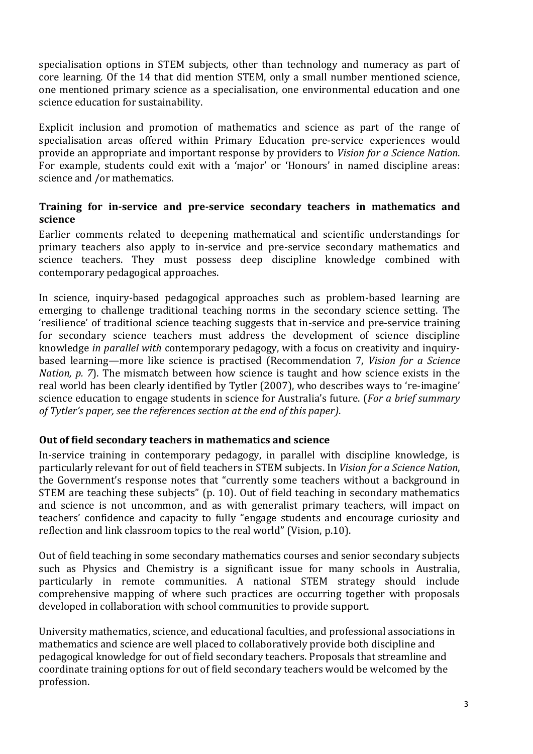specialisation options in STEM subjects, other than technology and numeracy as part of core learning. Of the 14 that did mention STEM, only a small number mentioned science, one mentioned primary science as a specialisation, one environmental education and one science education for sustainability.

Explicit inclusion and promotion of mathematics and science as part of the range of specialisation areas offered within Primary Education pre-service experiences would provide an appropriate and important response by providers to *Vision for a Science Nation*. For example, students could exit with a 'major' or 'Honours' in named discipline areas: science and /or mathematics.

## **Training for in-service and pre-service secondary teachers in mathematics and science**

Earlier comments related to deepening mathematical and scientific understandings for primary teachers also apply to in-service and pre-service secondary mathematics and science teachers. They must possess deep discipline knowledge combined with contemporary pedagogical approaches.

In science, inquiry-based pedagogical approaches such as problem-based learning are emerging to challenge traditional teaching norms in the secondary science setting. The 'resilience' of traditional science teaching suggests that in-service and pre-service training for secondary science teachers must address the development of science discipline knowledge *in parallel with* contemporary pedagogy, with a focus on creativity and inquirybased learning—more like science is practised (Recommendation 7, *Vision for a Science Nation, p. 7*). The mismatch between how science is taught and how science exists in the real world has been clearly identified by Tytler (2007), who describes ways to 're-imagine' science education to engage students in science for Australia's future. (*For a brief summary of Tytler's paper, see the references section at the end of this paper)*.

### **Out of field secondary teachers in mathematics and science**

In-service training in contemporary pedagogy, in parallel with discipline knowledge, is particularly relevant for out of field teachers in STEM subjects. In *Vision for a Science Nation*, the Government's response notes that "currently some teachers without a background in STEM are teaching these subjects" (p. 10). Out of field teaching in secondary mathematics and science is not uncommon, and as with generalist primary teachers, will impact on teachers' confidence and capacity to fully "engage students and encourage curiosity and reflection and link classroom topics to the real world" (Vision, p.10).

Out of field teaching in some secondary mathematics courses and senior secondary subjects such as Physics and Chemistry is a significant issue for many schools in Australia, particularly in remote communities. A national STEM strategy should include comprehensive mapping of where such practices are occurring together with proposals developed in collaboration with school communities to provide support.

University mathematics, science, and educational faculties, and professional associations in mathematics and science are well placed to collaboratively provide both discipline and pedagogical knowledge for out of field secondary teachers. Proposals that streamline and coordinate training options for out of field secondary teachers would be welcomed by the profession.